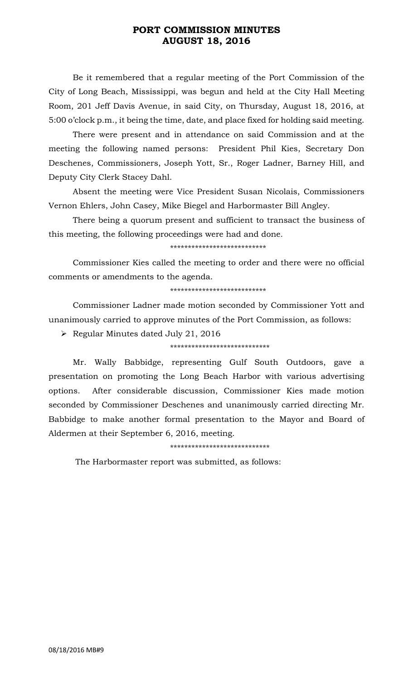## **PORT COMMISSION MINUTES AUGUST 18, 2016**

Be it remembered that a regular meeting of the Port Commission of the City of Long Beach, Mississippi, was begun and held at the City Hall Meeting Room, 201 Jeff Davis Avenue, in said City, on Thursday, August 18, 2016, at 5:00 o'clock p.m., it being the time, date, and place fixed for holding said meeting.

There were present and in attendance on said Commission and at the meeting the following named persons: President Phil Kies, Secretary Don Deschenes, Commissioners, Joseph Yott, Sr., Roger Ladner, Barney Hill, and Deputy City Clerk Stacey Dahl.

Absent the meeting were Vice President Susan Nicolais, Commissioners Vernon Ehlers, John Casey, Mike Biegel and Harbormaster Bill Angley.

There being a quorum present and sufficient to transact the business of this meeting, the following proceedings were had and done.

\*\*\*\*\*\*\*\*\*\*\*\*\*\*\*\*\*\*\*\*\*\*\*\*\*\*\*

Commissioner Kies called the meeting to order and there were no official comments or amendments to the agenda.

\*\*\*\*\*\*\*\*\*\*\*\*\*\*\*\*\*\*\*\*\*\*\*\*\*\*\*

Commissioner Ladner made motion seconded by Commissioner Yott and unanimously carried to approve minutes of the Port Commission, as follows:

 $\triangleright$  Regular Minutes dated July 21, 2016

### \*\*\*\*\*\*\*\*\*\*\*\*\*\*\*\*\*\*\*\*\*\*\*\*\*\*\*\*

Mr. Wally Babbidge, representing Gulf South Outdoors, gave a presentation on promoting the Long Beach Harbor with various advertising options. After considerable discussion, Commissioner Kies made motion seconded by Commissioner Deschenes and unanimously carried directing Mr. Babbidge to make another formal presentation to the Mayor and Board of Aldermen at their September 6, 2016, meeting.

\*\*\*\*\*\*\*\*\*\*\*\*\*\*\*\*\*\*\*\*\*\*\*\*\*\*\*\*

The Harbormaster report was submitted, as follows: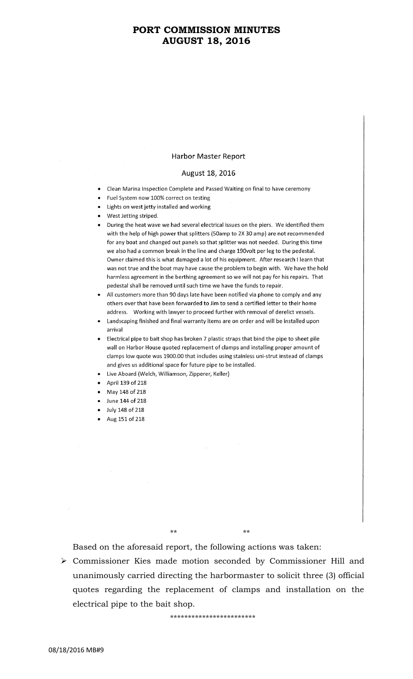## **PORT COMMISSION MINUTES AUGUST 18, 2016**

#### **Harbor Master Report**

### August 18, 2016

- Clean Marina Inspection Complete and Passed Waiting on final to have ceremony
- Fuel System now 100% correct on testing
- Lights on west jetty installed and working
- West Jetting striped.
- During the heat wave we had several electrical issues on the piers. We identified them with the help of high power that splitters (50amp to 2X 30 amp) are not recommended for any boat and changed out panels so that splitter was not needed. During this time we also had a common break in the line and charge 190volt per leg to the pedestal. Owner claimed this is what damaged a lot of his equipment. After research I learn that was not true and the boat may have cause the problem to begin with. We have the hold harmless agreement in the berthing agreement so we will not pay for his repairs. That pedestal shall be removed until such time we have the funds to repair.
- All customers more than 90 days late have been notified via phone to comply and any others over that have been forwarded to Jim to send a certified letter to their home address. Working with lawyer to proceed further with removal of derelict vessels.
- Landscaping finished and final warranty items are on order and will be installed upon arrival
- Electrical pipe to bait shop has broken 7 plastic straps that bind the pipe to sheet pile wall on Harbor House quoted replacement of clamps and installing proper amount of clamps low quote was 1900.00 that includes using stainless uni-strut instead of clamps and gives us additional space for future pipe to be installed.
- Live Aboard (Welch, Williamson, Zipperer, Keller)
- April 139 of 218
- May 148 of 218
- June 144 of 218
- July 148 of 218
- Aug 151 of 218

\*\* \*\*

Based on the aforesaid report, the following actions was taken:

 Commissioner Kies made motion seconded by Commissioner Hill and unanimously carried directing the harbormaster to solicit three (3) official quotes regarding the replacement of clamps and installation on the electrical pipe to the bait shop.

\*\*\*\*\*\*\*\*\*\*\*\*\*\*\*\*\*\*\*\*\*\*\*\*